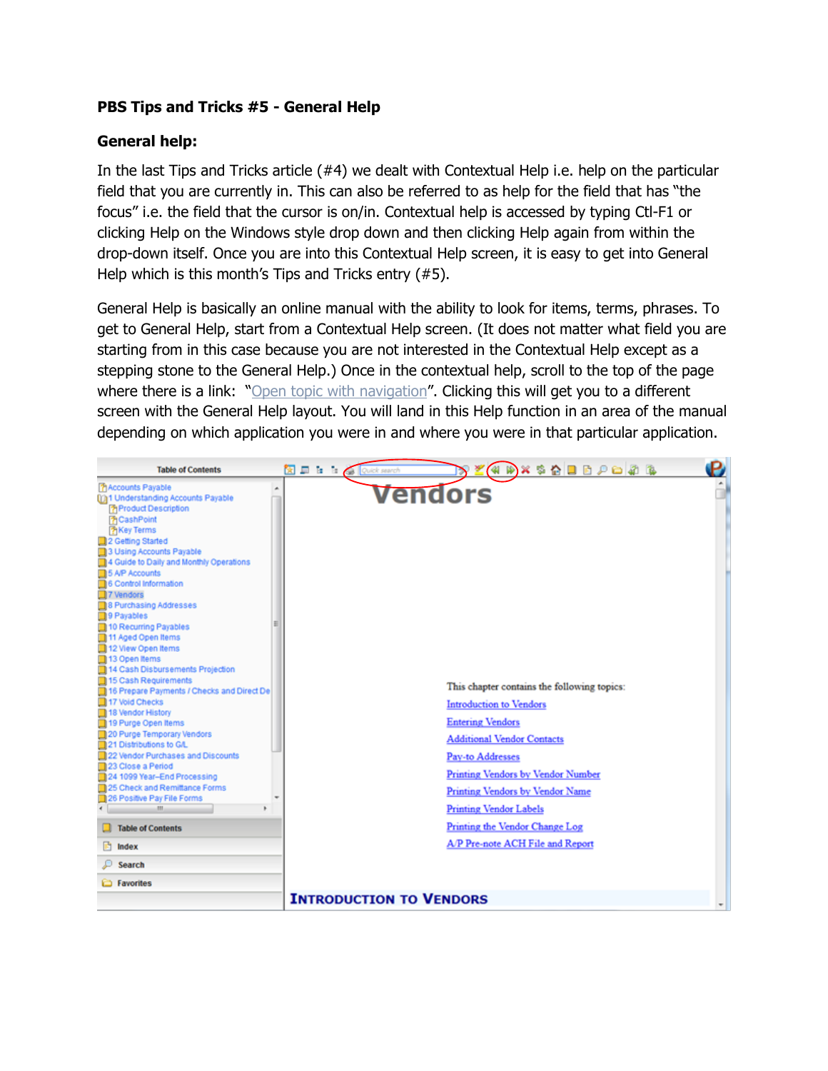## **PBS Tips and Tricks #5 - General Help**

## **General help:**

In the last Tips and Tricks article (#4) we dealt with Contextual Help i.e. help on the particular field that you are currently in. This can also be referred to as help for the field that has "the focus" i.e. the field that the cursor is on/in. Contextual help is accessed by typing Ctl-F1 or clicking Help on the Windows style drop down and then clicking Help again from within the drop-down itself. Once you are into this Contextual Help screen, it is easy to get into General Help which is this month's Tips and Tricks entry (#5).

General Help is basically an online manual with the ability to look for items, terms, phrases. To get to General Help, start from a Contextual Help screen. (It does not matter what field you are starting from in this case because you are not interested in the Contextual Help except as a stepping stone to the General Help.) Once in the contextual help, scroll to the top of the page where there is a link: "Open topic with navigation". Clicking this will get you to a different screen with the General Help layout. You will land in this Help function in an area of the manual depending on which application you were in and where you were in that particular application.

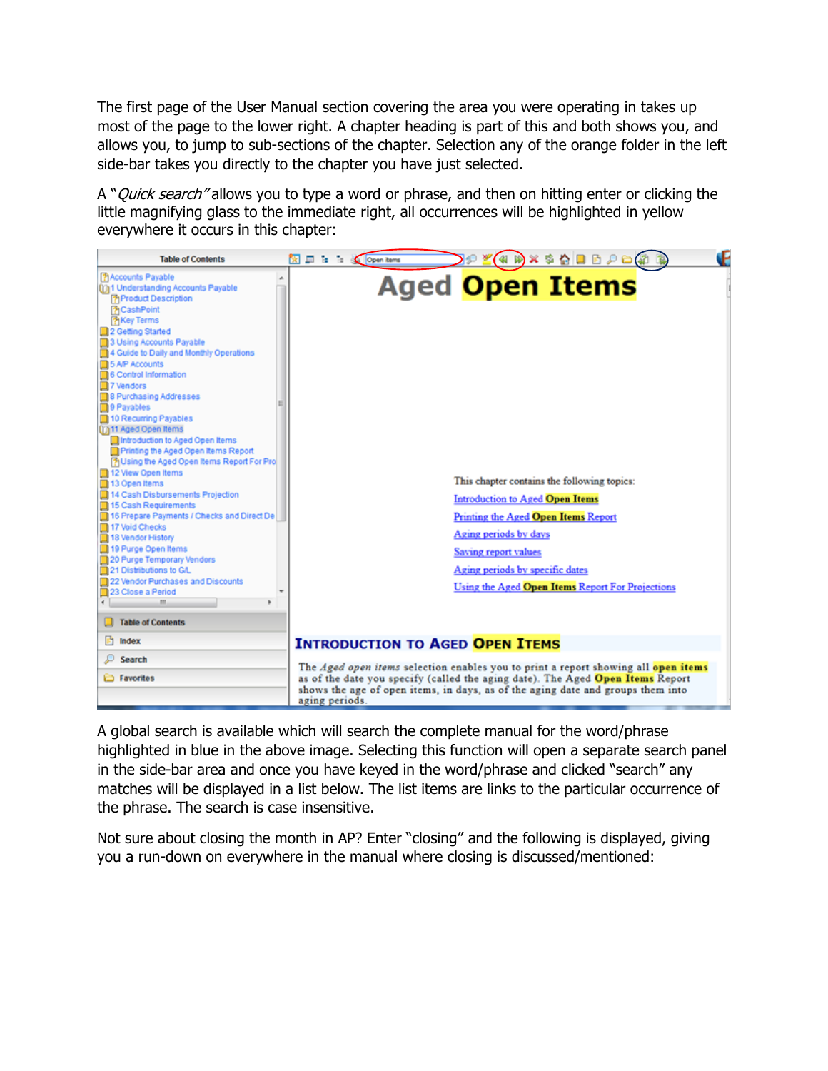The first page of the User Manual section covering the area you were operating in takes up most of the page to the lower right. A chapter heading is part of this and both shows you, and allows you, to jump to sub-sections of the chapter. Selection any of the orange folder in the left side-bar takes you directly to the chapter you have just selected.

A "*Quick search*" allows you to type a word or phrase, and then on hitting enter or clicking the little magnifying glass to the immediate right, all occurrences will be highlighted in yellow everywhere it occurs in this chapter:



A global search is available which will search the complete manual for the word/phrase highlighted in blue in the above image. Selecting this function will open a separate search panel in the side-bar area and once you have keyed in the word/phrase and clicked "search" any matches will be displayed in a list below. The list items are links to the particular occurrence of the phrase. The search is case insensitive.

Not sure about closing the month in AP? Enter "closing" and the following is displayed, giving you a run-down on everywhere in the manual where closing is discussed/mentioned: